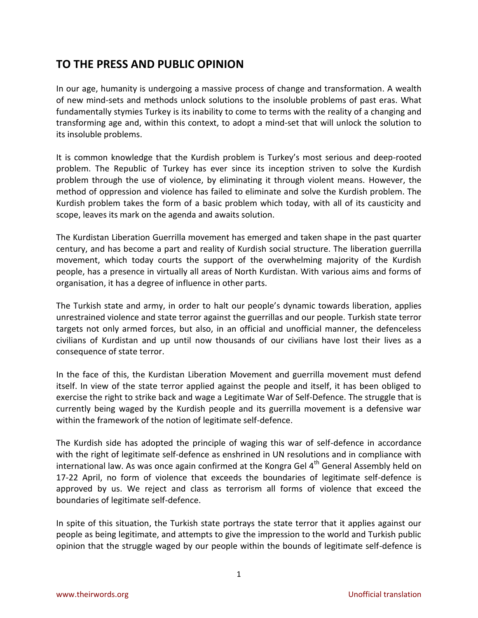## **TO THE PRESS AND PUBLIC OPINION**

In our age, humanity is undergoing a massive process of change and transformation. A wealth of new mind-sets and methods unlock solutions to the insoluble problems of past eras. What fundamentally stymies Turkey is its inability to come to terms with the reality of a changing and transforming age and, within this context, to adopt a mind-set that will unlock the solution to its insoluble problems.

It is common knowledge that the Kurdish problem is Turkey's most serious and deep-rooted problem. The Republic of Turkey has ever since its inception striven to solve the Kurdish problem through the use of violence, by eliminating it through violent means. However, the method of oppression and violence has failed to eliminate and solve the Kurdish problem. The Kurdish problem takes the form of a basic problem which today, with all of its causticity and scope, leaves its mark on the agenda and awaits solution.

The Kurdistan Liberation Guerrilla movement has emerged and taken shape in the past quarter century, and has become a part and reality of Kurdish social structure. The liberation guerrilla movement, which today courts the support of the overwhelming majority of the Kurdish people, has a presence in virtually all areas of North Kurdistan. With various aims and forms of organisation, it has a degree of influence in other parts.

The Turkish state and army, in order to halt our people's dynamic towards liberation, applies unrestrained violence and state terror against the guerrillas and our people. Turkish state terror targets not only armed forces, but also, in an official and unofficial manner, the defenceless civilians of Kurdistan and up until now thousands of our civilians have lost their lives as a consequence of state terror.

In the face of this, the Kurdistan Liberation Movement and guerrilla movement must defend itself. In view of the state terror applied against the people and itself, it has been obliged to exercise the right to strike back and wage a Legitimate War of Self-Defence. The struggle that is currently being waged by the Kurdish people and its guerrilla movement is a defensive war within the framework of the notion of legitimate self-defence.

The Kurdish side has adopted the principle of waging this war of self-defence in accordance with the right of legitimate self-defence as enshrined in UN resolutions and in compliance with international law. As was once again confirmed at the Kongra Gel  $4<sup>th</sup>$  General Assembly held on 17-22 April, no form of violence that exceeds the boundaries of legitimate self-defence is approved by us. We reject and class as terrorism all forms of violence that exceed the boundaries of legitimate self-defence.

In spite of this situation, the Turkish state portrays the state terror that it applies against our people as being legitimate, and attempts to give the impression to the world and Turkish public opinion that the struggle waged by our people within the bounds of legitimate self-defence is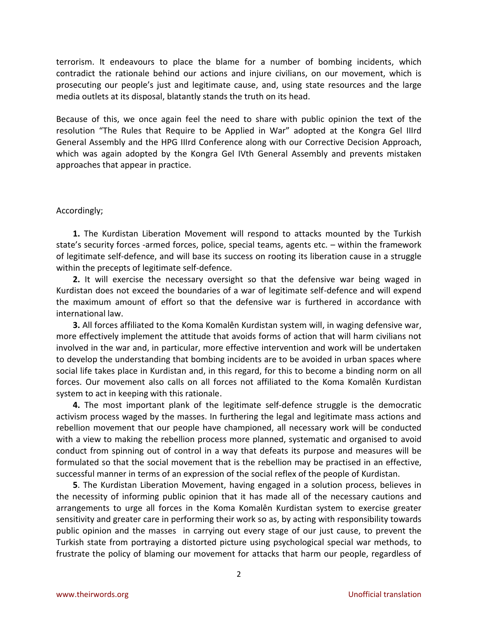terrorism. It endeavours to place the blame for a number of bombing incidents, which contradict the rationale behind our actions and injure civilians, on our movement, which is prosecuting our people's just and legitimate cause, and, using state resources and the large media outlets at its disposal, blatantly stands the truth on its head.

Because of this, we once again feel the need to share with public opinion the text of the resolution "The Rules that Require to be Applied in War" adopted at the Kongra Gel IIIrd General Assembly and the HPG IIIrd Conference along with our Corrective Decision Approach, which was again adopted by the Kongra Gel IVth General Assembly and prevents mistaken approaches that appear in practice.

## Accordingly;

**1.** The Kurdistan Liberation Movement will respond to attacks mounted by the Turkish state's security forces -armed forces, police, special teams, agents etc. – within the framework of legitimate self-defence, and will base its success on rooting its liberation cause in a struggle within the precepts of legitimate self-defence.

**2.** It will exercise the necessary oversight so that the defensive war being waged in Kurdistan does not exceed the boundaries of a war of legitimate self-defence and will expend the maximum amount of effort so that the defensive war is furthered in accordance with international law.

**3.** All forces affiliated to the Koma Komalên Kurdistan system will, in waging defensive war, more effectively implement the attitude that avoids forms of action that will harm civilians not involved in the war and, in particular, more effective intervention and work will be undertaken to develop the understanding that bombing incidents are to be avoided in urban spaces where social life takes place in Kurdistan and, in this regard, for this to become a binding norm on all forces. Our movement also calls on all forces not affiliated to the Koma Komalên Kurdistan system to act in keeping with this rationale.

**4.** The most important plank of the legitimate self-defence struggle is the democratic activism process waged by the masses. In furthering the legal and legitimate mass actions and rebellion movement that our people have championed, all necessary work will be conducted with a view to making the rebellion process more planned, systematic and organised to avoid conduct from spinning out of control in a way that defeats its purpose and measures will be formulated so that the social movement that is the rebellion may be practised in an effective, successful manner in terms of an expression of the social reflex of the people of Kurdistan.

**5**. The Kurdistan Liberation Movement, having engaged in a solution process, believes in the necessity of informing public opinion that it has made all of the necessary cautions and arrangements to urge all forces in the Koma Komalên Kurdistan system to exercise greater sensitivity and greater care in performing their work so as, by acting with responsibility towards public opinion and the masses in carrying out every stage of our just cause, to prevent the Turkish state from portraying a distorted picture using psychological special war methods, to frustrate the policy of blaming our movement for attacks that harm our people, regardless of